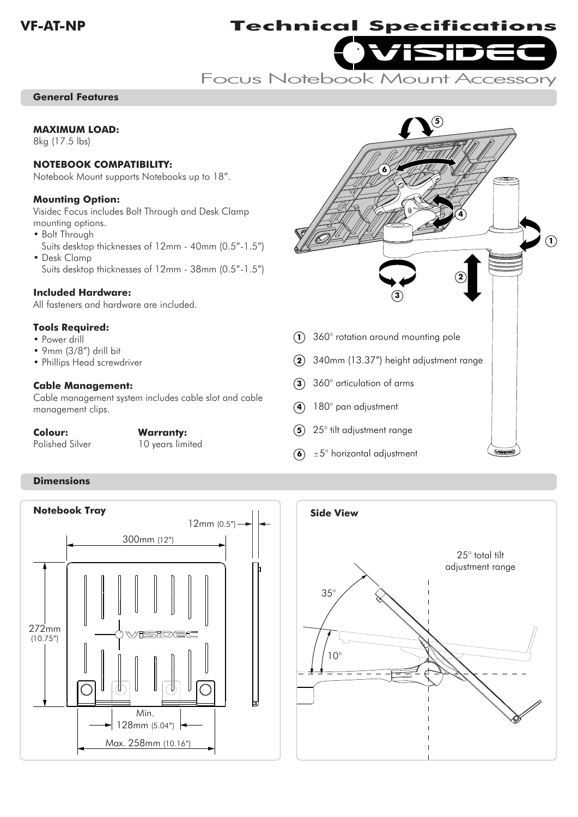# visidec **VF-AT-NP Technical Specifications**

Focus Notebook Mount Accessory

# **General Features**

#### **MAXIMUM LOAD:**

8kg (17.5 lbs)

#### **NOTEBOOK COMPATIBILITY:**

Notebook Mount supports Notebooks up to 18".

#### **Mounting Option:**

Visidec Focus includes Bolt Through and Desk Clamp mounting options.

- Bolt Through Suits desktop thicknesses of 12mm - 40mm (0.5"-1.5")
- Desk Clamp Suits desktop thicknesses of 12mm - 38mm (0.5"-1.5")

# **Included Hardware:**

All fasteners and hardware are included.

## **Tools Required:**

- Power drill
- 9mm (3/8") drill bit
- Phillips Head screwdriver

# **Cable Management:**

Cable management system includes cable slot and cable management clips.

## **Colour: Warranty:**

Polished Silver

degree imited 10 years limited



 $\left(6\right)$   $\pm$  5° horizontal adjustment

# **Dimensions**